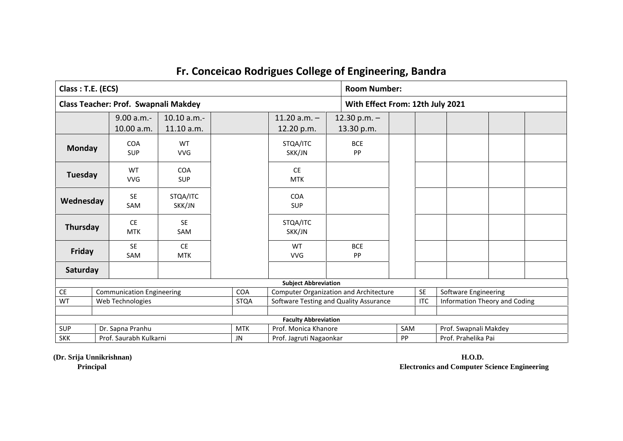| Class: T.E. (ECS) |                                                         |                                  |                                             |  |                          |                                               |  | <b>Room Number:</b>              |  |            |                       |                               |  |
|-------------------|---------------------------------------------------------|----------------------------------|---------------------------------------------|--|--------------------------|-----------------------------------------------|--|----------------------------------|--|------------|-----------------------|-------------------------------|--|
|                   |                                                         |                                  | <b>Class Teacher: Prof. Swapnali Makdey</b> |  |                          |                                               |  | With Effect From: 12th July 2021 |  |            |                       |                               |  |
|                   |                                                         | 9.00 a.m.-<br>10.00 a.m.         | 10.10 a.m.-<br>11.10 a.m.                   |  |                          | $11.20$ a.m. $-$<br>12.20 p.m.                |  | 12.30 p.m. $-$<br>13.30 p.m.     |  |            |                       |                               |  |
| <b>Monday</b>     |                                                         | <b>COA</b><br><b>SUP</b>         | <b>WT</b><br><b>VVG</b>                     |  |                          | STQA/ITC<br>SKK/JN                            |  | <b>BCE</b><br>PP                 |  |            |                       |                               |  |
| <b>Tuesday</b>    | WT<br><b>COA</b><br><b>VVG</b><br><b>SUP</b>            |                                  |                                             |  |                          | <b>CE</b><br><b>MTK</b>                       |  |                                  |  |            |                       |                               |  |
|                   | <b>SE</b><br>STQA/ITC<br>Wednesday<br>SAM<br>SKK/JN     |                                  |                                             |  | <b>COA</b><br><b>SUP</b> |                                               |  |                                  |  |            |                       |                               |  |
|                   | <b>SE</b><br><b>CE</b><br>Thursday<br><b>MTK</b><br>SAM |                                  |                                             |  | STQA/ITC<br>SKK/JN       |                                               |  |                                  |  |            |                       |                               |  |
| Friday            |                                                         | <b>SE</b><br>SAM                 | <b>CE</b><br><b>MTK</b>                     |  |                          | WT<br><b>VVG</b>                              |  | <b>BCE</b><br>PP                 |  |            |                       |                               |  |
| Saturday          |                                                         |                                  |                                             |  |                          |                                               |  |                                  |  |            |                       |                               |  |
|                   |                                                         |                                  |                                             |  |                          | <b>Subject Abbreviation</b>                   |  |                                  |  |            |                       |                               |  |
| <b>CE</b>         |                                                         | <b>Communication Engineering</b> |                                             |  | <b>COA</b>               | <b>Computer Organization and Architecture</b> |  |                                  |  | <b>SE</b>  | Software Engineering  |                               |  |
| WT                | Web Technologies<br><b>STQA</b>                         |                                  |                                             |  |                          | Software Testing and Quality Assurance        |  |                                  |  | <b>ITC</b> |                       | Information Theory and Coding |  |
|                   |                                                         |                                  | <b>Faculty Abbreviation</b>                 |  |                          |                                               |  |                                  |  |            |                       |                               |  |
| <b>SUP</b>        |                                                         |                                  |                                             |  | <b>MTK</b>               | Prof. Monica Khanore                          |  |                                  |  | SAM        | Prof. Swapnali Makdey |                               |  |
| <b>SKK</b>        | Dr. Sapna Pranhu<br>Prof. Saurabh Kulkarni              |                                  |                                             |  | <b>JN</b>                | Prof. Jagruti Nagaonkar                       |  |                                  |  |            | Prof. Prahelika Pai   |                               |  |

**(Dr. Srija Unnikrishnan) H.O.D. Principal Electronics and Computer Science Engineering**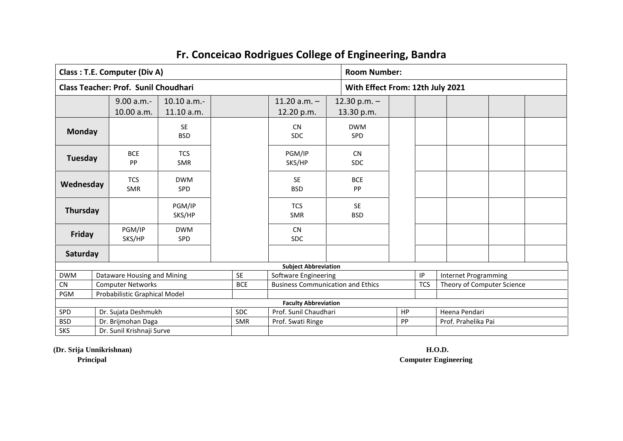|                | <b>Class: T.E. Computer (Div A)</b>                   |                          |  |                             |                                          |                                  | <b>Room Number:</b> |            |                             |  |  |  |
|----------------|-------------------------------------------------------|--------------------------|--|-----------------------------|------------------------------------------|----------------------------------|---------------------|------------|-----------------------------|--|--|--|
|                | Class Teacher: Prof. Sunil Choudhari                  |                          |  |                             |                                          | With Effect From: 12th July 2021 |                     |            |                             |  |  |  |
|                | 9.00 a.m.                                             | 10.10 a.m.               |  |                             | 11.20 $a.m. -$                           | 12.30 p.m. $-$                   |                     |            |                             |  |  |  |
|                | 10.00 a.m.                                            | 11.10 a.m.               |  |                             | 12.20 p.m.                               | 13.30 p.m.                       |                     |            |                             |  |  |  |
| <b>Monday</b>  |                                                       | <b>SE</b><br><b>BSD</b>  |  |                             | <b>CN</b><br><b>SDC</b>                  | <b>DWM</b><br><b>SPD</b>         |                     |            |                             |  |  |  |
| <b>Tuesday</b> | <b>BCE</b><br>PP                                      | <b>TCS</b><br><b>SMR</b> |  | PGM/IP<br>SKS/HP            |                                          | <b>CN</b><br><b>SDC</b>          |                     |            |                             |  |  |  |
| Wednesday      | <b>TCS</b><br><b>SMR</b>                              | <b>DWM</b><br><b>SPD</b> |  | <b>SE</b><br><b>BSD</b>     |                                          | <b>BCE</b><br>PP                 |                     |            |                             |  |  |  |
| Thursday       |                                                       | PGM/IP<br>SKS/HP         |  |                             | <b>TCS</b><br><b>SMR</b>                 | <b>SE</b><br><b>BSD</b>          |                     |            |                             |  |  |  |
| Friday         | PGM/IP<br>SKS/HP                                      | <b>DWM</b><br><b>SPD</b> |  |                             | <b>CN</b><br><b>SDC</b>                  |                                  |                     |            |                             |  |  |  |
| Saturday       |                                                       |                          |  |                             |                                          |                                  |                     |            |                             |  |  |  |
|                |                                                       |                          |  |                             | <b>Subject Abbreviation</b>              |                                  |                     |            |                             |  |  |  |
| <b>DWM</b>     | Dataware Housing and Mining                           |                          |  | SE                          | Software Engineering                     |                                  |                     | IP         | <b>Internet Programming</b> |  |  |  |
| CN             | <b>Computer Networks</b>                              |                          |  | <b>BCE</b>                  | <b>Business Communication and Ethics</b> |                                  |                     | <b>TCS</b> | Theory of Computer Science  |  |  |  |
| <b>PGM</b>     | Probabilistic Graphical Model                         |                          |  |                             |                                          |                                  |                     |            |                             |  |  |  |
|                |                                                       |                          |  | <b>Faculty Abbreviation</b> |                                          |                                  |                     |            |                             |  |  |  |
| SPD            | Dr. Sujata Deshmukh                                   |                          |  | <b>SDC</b>                  | Prof. Sunil Chaudhari                    |                                  | HP                  |            | Heena Pendari               |  |  |  |
| <b>BSD</b>     | Dr. Brijmohan Daga<br><b>SMR</b><br>Prof. Swati Ringe |                          |  |                             |                                          | PP                               |                     |            | Prof. Prahelika Pai         |  |  |  |
| <b>SKS</b>     | Dr. Sunil Krishnaji Surve                             |                          |  |                             |                                          |                                  |                     |            |                             |  |  |  |

**(Dr. Srija Unnikrishnan) H.O.D.**

**Principal Computer Engineering**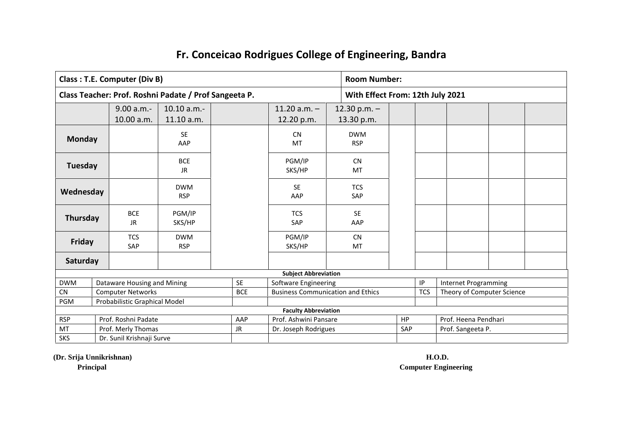|                                       | Class: T.E. Computer (Div B)                          |                          |            |                                          |                                  | <b>Room Number:</b> |                             |  |  |  |  |
|---------------------------------------|-------------------------------------------------------|--------------------------|------------|------------------------------------------|----------------------------------|---------------------|-----------------------------|--|--|--|--|
|                                       | Class Teacher: Prof. Roshni Padate / Prof Sangeeta P. |                          |            |                                          | With Effect From: 12th July 2021 |                     |                             |  |  |  |  |
|                                       | 9.00 a.m.-                                            | 10.10 a.m.               |            | 11.20 $a.m. -$                           | 12.30 p.m. $-$                   |                     |                             |  |  |  |  |
|                                       | 10.00 a.m.                                            | 11.10 a.m.               |            | 12.20 p.m.                               | 13.30 p.m.                       |                     |                             |  |  |  |  |
| <b>Monday</b>                         |                                                       | <b>SE</b><br>AAP         |            | <b>CN</b><br><b>MT</b>                   | <b>DWM</b><br><b>RSP</b>         |                     |                             |  |  |  |  |
| <b>Tuesday</b>                        | <b>BCE</b><br><b>JR</b>                               |                          |            | PGM/IP<br>SKS/HP                         | <b>CN</b><br>MT                  |                     |                             |  |  |  |  |
| <b>DWM</b><br>Wednesday<br><b>RSP</b> |                                                       |                          |            | <b>SE</b><br>AAP                         | <b>TCS</b><br>SAP                |                     |                             |  |  |  |  |
| Thursday                              | <b>BCE</b><br><b>JR</b>                               | PGM/IP<br>SKS/HP         |            | <b>TCS</b><br>SAP                        | <b>SE</b><br>AAP                 |                     |                             |  |  |  |  |
| Friday                                | <b>TCS</b><br>SAP                                     | <b>DWM</b><br><b>RSP</b> |            | PGM/IP<br>SKS/HP                         | <b>CN</b><br>MT                  |                     |                             |  |  |  |  |
| Saturday                              |                                                       |                          |            |                                          |                                  |                     |                             |  |  |  |  |
|                                       |                                                       |                          |            | <b>Subject Abbreviation</b>              |                                  |                     |                             |  |  |  |  |
| <b>DWM</b>                            | Dataware Housing and Mining                           |                          | <b>SE</b>  | Software Engineering                     |                                  | $\sf IP$            | <b>Internet Programming</b> |  |  |  |  |
| CN                                    | <b>Computer Networks</b>                              |                          | <b>BCE</b> | <b>Business Communication and Ethics</b> |                                  | <b>TCS</b>          | Theory of Computer Science  |  |  |  |  |
| PGM                                   | Probabilistic Graphical Model                         |                          |            |                                          |                                  |                     |                             |  |  |  |  |
|                                       |                                                       |                          |            | <b>Faculty Abbreviation</b>              |                                  |                     |                             |  |  |  |  |
| <b>RSP</b>                            | Prof. Roshni Padate                                   |                          | AAP        | Prof. Ashwini Pansare                    |                                  | <b>HP</b>           | Prof. Heena Pendhari        |  |  |  |  |
| MT                                    | Prof. Merly Thomas                                    |                          | <b>JR</b>  | Dr. Joseph Rodrigues                     |                                  | SAP                 | Prof. Sangeeta P.           |  |  |  |  |
| <b>SKS</b>                            | Dr. Sunil Krishnaji Surve                             |                          |            |                                          |                                  |                     |                             |  |  |  |  |

**(Dr. Srija Unnikrishnan) H.O.D.**

**Principal Computer Engineering**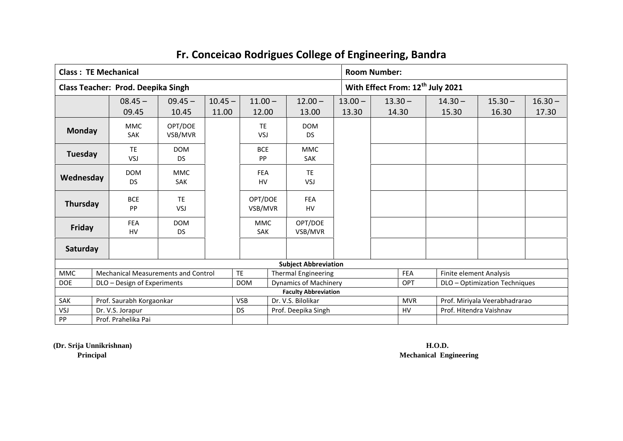| <b>Class: TE Mechanical</b> |                                           |                                            |                    |                                              |                                                             |                              |                    | <b>Room Number:</b> |                               |                               |                    |  |  |
|-----------------------------|-------------------------------------------|--------------------------------------------|--------------------|----------------------------------------------|-------------------------------------------------------------|------------------------------|--------------------|---------------------|-------------------------------|-------------------------------|--------------------|--|--|
|                             | <b>Class Teacher: Prod. Deepika Singh</b> |                                            |                    | With Effect From: 12 <sup>th</sup> July 2021 |                                                             |                              |                    |                     |                               |                               |                    |  |  |
|                             | $08.45 -$<br>09.45                        | $09.45 -$<br>10.45                         | $10.45 -$<br>11.00 | $11.00 -$<br>12.00                           |                                                             | $12.00 -$<br>13.00           | $13.00 -$<br>13.30 | $13.30 -$<br>14.30  | $14.30 -$<br>15.30            | $15.30 -$<br>16.30            | $16.30 -$<br>17.30 |  |  |
| <b>Monday</b>               | <b>MMC</b><br>SAK                         | OPT/DOE<br>VSB/MVR                         |                    | <b>TE</b><br>VSJ                             |                                                             | <b>DOM</b><br>DS             |                    |                     |                               |                               |                    |  |  |
| Tuesday                     | <b>TE</b><br>VSJ                          | <b>DOM</b><br><b>DS</b>                    |                    | <b>BCE</b><br><b>PP</b>                      |                                                             | <b>MMC</b><br><b>SAK</b>     |                    |                     |                               |                               |                    |  |  |
| Wednesday                   | <b>DOM</b><br><b>DS</b>                   | <b>MMC</b><br><b>SAK</b>                   |                    | <b>FEA</b><br><b>HV</b>                      |                                                             | <b>TE</b><br>VSJ             |                    |                     |                               |                               |                    |  |  |
| Thursday                    | <b>BCE</b><br>PP                          | <b>TE</b><br>VSJ                           |                    | OPT/DOE<br>VSB/MVR                           |                                                             | <b>FEA</b><br><b>HV</b>      |                    |                     |                               |                               |                    |  |  |
| Friday                      | <b>FEA</b><br><b>HV</b>                   | <b>DOM</b><br><b>DS</b>                    |                    | <b>MMC</b><br><b>SAK</b>                     |                                                             | OPT/DOE<br>VSB/MVR           |                    |                     |                               |                               |                    |  |  |
| Saturday                    |                                           |                                            |                    |                                              |                                                             |                              |                    |                     |                               |                               |                    |  |  |
|                             |                                           |                                            |                    |                                              |                                                             | <b>Subject Abbreviation</b>  |                    |                     |                               |                               |                    |  |  |
| <b>MMC</b>                  |                                           | <b>Mechanical Measurements and Control</b> |                    | <b>TE</b>                                    |                                                             | <b>Thermal Engineering</b>   |                    | FEA                 | Finite element Analysis       |                               |                    |  |  |
| <b>DOE</b>                  | DLO - Design of Experiments               |                                            |                    | <b>DOM</b>                                   |                                                             | <b>Dynamics of Machinery</b> |                    | <b>OPT</b>          |                               | DLO - Optimization Techniques |                    |  |  |
|                             |                                           |                                            |                    |                                              |                                                             | <b>Faculty Abbreviation</b>  |                    |                     |                               |                               |                    |  |  |
| SAK                         | Prof. Saurabh Korgaonkar                  |                                            |                    | <b>VSB</b>                                   |                                                             | Dr. V.S. Bilolikar           |                    | <b>MVR</b>          | Prof. Miriyala Veerabhadrarao |                               |                    |  |  |
| VSJ                         | Dr. V.S. Jorapur                          |                                            |                    | <b>DS</b>                                    | Prof. Hitendra Vaishnav<br>Prof. Deepika Singh<br><b>HV</b> |                              |                    |                     |                               |                               |                    |  |  |
| PP                          | Prof. Prahelika Pai                       |                                            |                    |                                              |                                                             |                              |                    |                     |                               |                               |                    |  |  |

**(Dr. Srija Unnikrishnan) H.O.D.**

**Principal Mechanical Engineering**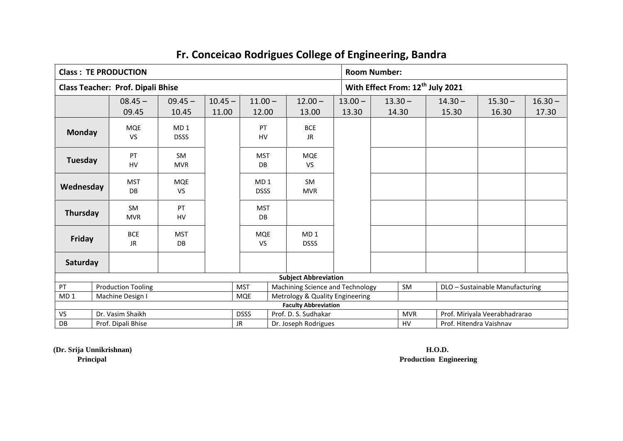|          |                                                             |                                                                                                                                                                                                                                                               |                                          |                        |                                                                   |                                                                                                | <b>Room Number:</b>                |                                                                                    |                                                                     |                                               |           |                                                                                             |  |  |
|----------|-------------------------------------------------------------|---------------------------------------------------------------------------------------------------------------------------------------------------------------------------------------------------------------------------------------------------------------|------------------------------------------|------------------------|-------------------------------------------------------------------|------------------------------------------------------------------------------------------------|------------------------------------|------------------------------------------------------------------------------------|---------------------------------------------------------------------|-----------------------------------------------|-----------|---------------------------------------------------------------------------------------------|--|--|
|          |                                                             |                                                                                                                                                                                                                                                               |                                          |                        |                                                                   |                                                                                                |                                    | With Effect From: 12 <sup>th</sup> July 2021                                       |                                                                     |                                               |           |                                                                                             |  |  |
|          |                                                             | $09.45 -$                                                                                                                                                                                                                                                     |                                          | $11.00 -$<br>$12.00 -$ |                                                                   |                                                                                                | $13.00 -$                          |                                                                                    |                                                                     | $14.30 -$                                     | $15.30 -$ | $16.30 -$                                                                                   |  |  |
|          |                                                             | 10.45                                                                                                                                                                                                                                                         | 11.00                                    |                        |                                                                   | 13.00                                                                                          | 13.30                              |                                                                                    |                                                                     | 15.30                                         | 16.30     | 17.30                                                                                       |  |  |
|          |                                                             | MD <sub>1</sub>                                                                                                                                                                                                                                               |                                          | PT                     |                                                                   | <b>BCE</b>                                                                                     |                                    |                                                                                    |                                                                     |                                               |           |                                                                                             |  |  |
|          |                                                             | <b>DSSS</b>                                                                                                                                                                                                                                                   |                                          |                        | <b>JR</b>                                                         |                                                                                                |                                    |                                                                                    |                                                                     |                                               |           |                                                                                             |  |  |
|          |                                                             | SM                                                                                                                                                                                                                                                            |                                          |                        |                                                                   |                                                                                                |                                    |                                                                                    |                                                                     |                                               |           |                                                                                             |  |  |
|          |                                                             | <b>MVR</b>                                                                                                                                                                                                                                                    |                                          | DB                     |                                                                   | <b>VS</b>                                                                                      |                                    |                                                                                    |                                                                     |                                               |           |                                                                                             |  |  |
|          |                                                             | <b>MQE</b>                                                                                                                                                                                                                                                    |                                          |                        |                                                                   | <b>SM</b>                                                                                      |                                    |                                                                                    |                                                                     |                                               |           |                                                                                             |  |  |
|          |                                                             | <b>VS</b>                                                                                                                                                                                                                                                     |                                          |                        |                                                                   | <b>MVR</b>                                                                                     |                                    |                                                                                    |                                                                     |                                               |           |                                                                                             |  |  |
|          |                                                             | PT                                                                                                                                                                                                                                                            |                                          |                        |                                                                   |                                                                                                |                                    |                                                                                    |                                                                     |                                               |           |                                                                                             |  |  |
|          |                                                             | HV                                                                                                                                                                                                                                                            |                                          | DB                     |                                                                   |                                                                                                |                                    |                                                                                    |                                                                     |                                               |           |                                                                                             |  |  |
|          |                                                             | <b>MST</b>                                                                                                                                                                                                                                                    |                                          |                        |                                                                   | MD <sub>1</sub>                                                                                |                                    |                                                                                    |                                                                     |                                               |           |                                                                                             |  |  |
|          |                                                             | DB                                                                                                                                                                                                                                                            |                                          | <b>VS</b>              |                                                                   | <b>DSSS</b>                                                                                    |                                    |                                                                                    |                                                                     |                                               |           |                                                                                             |  |  |
| Saturday |                                                             |                                                                                                                                                                                                                                                               |                                          |                        |                                                                   |                                                                                                |                                    |                                                                                    |                                                                     |                                               |           |                                                                                             |  |  |
|          |                                                             |                                                                                                                                                                                                                                                               |                                          |                        |                                                                   |                                                                                                |                                    |                                                                                    |                                                                     |                                               |           |                                                                                             |  |  |
|          |                                                             |                                                                                                                                                                                                                                                               |                                          |                        |                                                                   |                                                                                                |                                    |                                                                                    | SM                                                                  |                                               |           |                                                                                             |  |  |
|          |                                                             |                                                                                                                                                                                                                                                               |                                          |                        |                                                                   |                                                                                                |                                    |                                                                                    |                                                                     |                                               |           |                                                                                             |  |  |
|          |                                                             |                                                                                                                                                                                                                                                               |                                          |                        |                                                                   |                                                                                                |                                    |                                                                                    |                                                                     |                                               |           |                                                                                             |  |  |
|          |                                                             |                                                                                                                                                                                                                                                               |                                          |                        |                                                                   |                                                                                                |                                    |                                                                                    |                                                                     |                                               |           |                                                                                             |  |  |
|          | <b>Monday</b><br>Tuesday<br>Wednesday<br>Thursday<br>Friday | <b>Class: TE PRODUCTION</b><br>$08.45 -$<br>09.45<br><b>MQE</b><br><b>VS</b><br>PT<br>HV<br><b>MST</b><br>DB<br><b>SM</b><br><b>MVR</b><br><b>BCE</b><br><b>JR</b><br><b>Production Tooling</b><br>Machine Design I<br>Dr. Vasim Shaikh<br>Prof. Dipali Bhise | <b>Class Teacher: Prof. Dipali Bhise</b> |                        | $10.45 -$<br><b>MST</b><br><b>MQE</b><br><b>DSSS</b><br><b>JR</b> | 12.00<br><b>HV</b><br><b>MST</b><br>MD <sub>1</sub><br><b>DSSS</b><br><b>MST</b><br><b>MQE</b> | <b>MQE</b><br>Prof. D. S. Sudhakar | <b>Subject Abbreviation</b><br><b>Faculty Abbreviation</b><br>Dr. Joseph Rodrigues | Machining Science and Technology<br>Metrology & Quality Engineering | $13.30 -$<br>14.30<br><b>MVR</b><br><b>HV</b> |           | DLO - Sustainable Manufacturing<br>Prof. Miriyala Veerabhadrarao<br>Prof. Hitendra Vaishnav |  |  |

**(Dr. Srija Unnikrishnan) H.O.D.**

**Principal Production Engineering**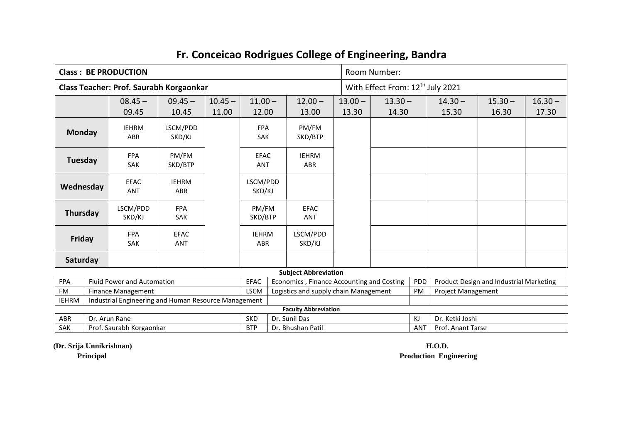|               |                                                                                   | <b>Class: BE PRODUCTION</b>                          |                            |           |                                        |  |                                           |                       | Room Number:                                 |     |                           |                                         |           |  |
|---------------|-----------------------------------------------------------------------------------|------------------------------------------------------|----------------------------|-----------|----------------------------------------|--|-------------------------------------------|-----------------------|----------------------------------------------|-----|---------------------------|-----------------------------------------|-----------|--|
|               |                                                                                   | Class Teacher: Prof. Saurabh Korgaonkar              |                            |           |                                        |  |                                           |                       | With Effect From: 12 <sup>th</sup> July 2021 |     |                           |                                         |           |  |
|               |                                                                                   | $08.45 -$                                            | $09.45 -$                  | $10.45 -$ | $11.00 -$                              |  | $12.00 -$                                 | $13.00 -$             | $13.30 -$                                    |     | $14.30 -$                 | $15.30 -$                               | $16.30 -$ |  |
|               |                                                                                   | 09.45                                                | 10.45                      | 11.00     | 12.00                                  |  | 13.00                                     | 13.30                 | 14.30                                        |     | 15.30                     | 16.30                                   | 17.30     |  |
| <b>Monday</b> |                                                                                   | <b>IEHRM</b><br><b>ABR</b>                           | LSCM/PDD<br>SKD/KJ         |           | <b>FPA</b><br><b>SAK</b>               |  | PM/FM<br>SKD/BTP                          |                       |                                              |     |                           |                                         |           |  |
| Tuesday       |                                                                                   | <b>FPA</b><br><b>SAK</b>                             | PM/FM<br>SKD/BTP           |           | <b>EFAC</b><br><b>ANT</b>              |  | <b>IEHRM</b><br>ABR                       |                       |                                              |     |                           |                                         |           |  |
| Wednesday     |                                                                                   | <b>EFAC</b><br><b>ANT</b>                            | <b>IEHRM</b><br><b>ABR</b> |           | LSCM/PDD<br>SKD/KJ                     |  |                                           |                       |                                              |     |                           |                                         |           |  |
| Thursday      |                                                                                   | LSCM/PDD<br>SKD/KJ                                   | <b>FPA</b><br>SAK          |           | PM/FM<br><b>EFAC</b><br>SKD/BTP<br>ANT |  |                                           |                       |                                              |     |                           |                                         |           |  |
| Friday        |                                                                                   | <b>FPA</b><br><b>SAK</b>                             | <b>EFAC</b><br><b>ANT</b>  |           | <b>IEHRM</b><br><b>ABR</b>             |  | LSCM/PDD<br>SKD/KJ                        |                       |                                              |     |                           |                                         |           |  |
| Saturday      |                                                                                   |                                                      |                            |           |                                        |  |                                           |                       |                                              |     |                           |                                         |           |  |
|               |                                                                                   |                                                      |                            |           |                                        |  | <b>Subject Abbreviation</b>               |                       |                                              |     |                           |                                         |           |  |
| <b>FPA</b>    |                                                                                   | <b>Fluid Power and Automation</b>                    |                            |           | <b>EFAC</b>                            |  | Economics, Finance Accounting and Costing |                       |                                              | PDD |                           | Product Design and Industrial Marketing |           |  |
| <b>FM</b>     | <b>LSCM</b><br>Logistics and supply chain Management<br><b>Finance Management</b> |                                                      |                            |           |                                        |  |                                           |                       |                                              | PM  | <b>Project Management</b> |                                         |           |  |
| <b>IEHRM</b>  |                                                                                   | Industrial Engineering and Human Resource Management |                            |           |                                        |  |                                           |                       |                                              |     |                           |                                         |           |  |
|               |                                                                                   |                                                      |                            |           |                                        |  | <b>Faculty Abbreviation</b>               |                       |                                              |     |                           |                                         |           |  |
| <b>ABR</b>    | Dr. Arun Rane<br><b>SKD</b><br>Dr. Sunil Das                                      |                                                      |                            |           |                                        |  |                                           | KJ<br>Dr. Ketki Joshi |                                              |     |                           |                                         |           |  |
| SAK           |                                                                                   | Prof. Saurabh Korgaonkar                             |                            |           | <b>BTP</b>                             |  | Dr. Bhushan Patil                         |                       | Prof. Anant Tarse<br><b>ANT</b>              |     |                           |                                         |           |  |

**(Dr. Srija Unnikrishnan) H.O.D.**

**Principal Production Engineering**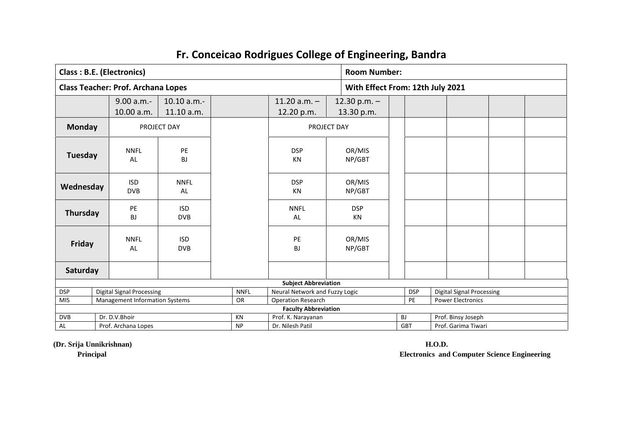|                |                                                    | <b>Class: B.E. (Electronics)</b>          |                          |                   |                                |                  |                                  | <b>Room Number:</b> |            |                     |                                  |  |  |
|----------------|----------------------------------------------------|-------------------------------------------|--------------------------|-------------------|--------------------------------|------------------|----------------------------------|---------------------|------------|---------------------|----------------------------------|--|--|
|                |                                                    | <b>Class Teacher: Prof. Archana Lopes</b> |                          |                   |                                |                  | With Effect From: 12th July 2021 |                     |            |                     |                                  |  |  |
|                |                                                    | $9.00 a.m. -$                             | 10.10 a.m.               |                   | $11.20 a.m. -$                 |                  | 12.30 p.m. $-$                   |                     |            |                     |                                  |  |  |
|                |                                                    | 10.00 a.m.                                | 11.10 a.m.               |                   | 12.20 p.m.                     |                  | 13.30 p.m.                       |                     |            |                     |                                  |  |  |
| <b>Monday</b>  |                                                    | PROJECT DAY                               |                          |                   | PROJECT DAY                    |                  |                                  |                     |            |                     |                                  |  |  |
| <b>Tuesday</b> |                                                    | <b>NNFL</b><br>AL                         | PE<br><b>BJ</b>          |                   | <b>DSP</b><br><b>KN</b>        |                  | OR/MIS<br>NP/GBT                 |                     |            |                     |                                  |  |  |
| Wednesday      | <b>ISD</b><br><b>NNFL</b><br><b>DVB</b><br>AL      |                                           |                          | <b>DSP</b><br>KN  |                                | OR/MIS<br>NP/GBT |                                  |                     |            |                     |                                  |  |  |
| Thursday       | PE<br><b>ISD</b><br>BJ<br><b>DVB</b>               |                                           |                          | <b>NNFL</b><br>AL |                                | <b>DSP</b><br>KN |                                  |                     |            |                     |                                  |  |  |
| Friday         |                                                    | <b>NNFL</b><br>AL                         | <b>ISD</b><br><b>DVB</b> |                   | PE<br><b>BJ</b>                |                  | OR/MIS<br>NP/GBT                 |                     |            |                     |                                  |  |  |
| Saturday       |                                                    |                                           |                          |                   |                                |                  |                                  |                     |            |                     |                                  |  |  |
|                |                                                    |                                           |                          |                   | <b>Subject Abbreviation</b>    |                  |                                  |                     |            |                     |                                  |  |  |
| <b>DSP</b>     | <b>Digital Signal Processing</b><br><b>NNFL</b>    |                                           |                          |                   | Neural Network and Fuzzy Logic |                  |                                  |                     | <b>DSP</b> |                     | <b>Digital Signal Processing</b> |  |  |
| <b>MIS</b>     | <b>Management Information Systems</b><br><b>OR</b> |                                           |                          |                   | <b>Operation Research</b>      |                  |                                  |                     | PE         |                     | <b>Power Electronics</b>         |  |  |
|                | <b>Faculty Abbreviation</b><br>KN                  |                                           |                          |                   |                                |                  |                                  |                     |            |                     |                                  |  |  |
| <b>DVB</b>     | Dr. D.V.Bhoir                                      |                                           |                          |                   | Prof. K. Narayanan             |                  |                                  |                     | <b>BJ</b>  | Prof. Binsy Joseph  |                                  |  |  |
| AL             |                                                    | Prof. Archana Lopes                       |                          |                   | Dr. Nilesh Patil               |                  |                                  |                     | <b>GBT</b> | Prof. Garima Tiwari |                                  |  |  |

**(Dr. Srija Unnikrishnan) H.O.D.**

**Principal Electronics and Computer Science Engineering**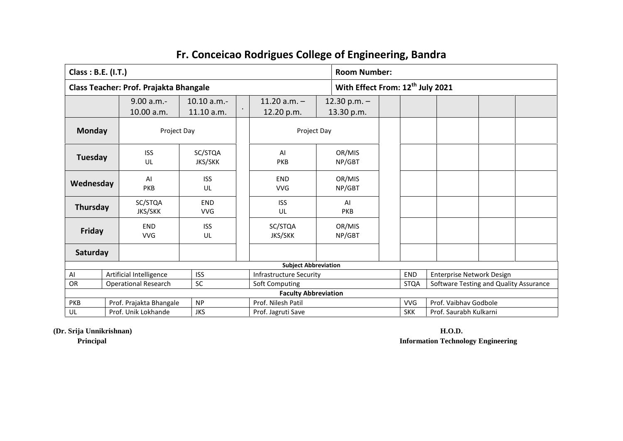| Class: B.E. (I.T.) |                                        |                           |                |                                      |                  | <b>Room Number:</b>                          |                                        |  |  |  |  |
|--------------------|----------------------------------------|---------------------------|----------------|--------------------------------------|------------------|----------------------------------------------|----------------------------------------|--|--|--|--|
|                    | Class Teacher: Prof. Prajakta Bhangale |                           |                |                                      |                  | With Effect From: 12 <sup>th</sup> July 2021 |                                        |  |  |  |  |
|                    | 9.00 a.m.                              | 10.10 a.m.                |                | 11.20 $a.m. -$                       | 12.30 p.m. $-$   |                                              |                                        |  |  |  |  |
|                    | 10.00 a.m.                             | 11.10 a.m.                |                | 12.20 p.m.                           | 13.30 p.m.       |                                              |                                        |  |  |  |  |
| <b>Monday</b>      | Project Day                            |                           |                | Project Day                          |                  |                                              |                                        |  |  |  |  |
| Tuesday            | <b>ISS</b><br>UL                       | SC/STQA<br><b>JKS/SKK</b> |                | OR/MIS<br>AI<br><b>PKB</b><br>NP/GBT |                  |                                              |                                        |  |  |  |  |
| Wednesday          | AI<br><b>PKB</b>                       | <b>ISS</b><br>UL          |                | <b>END</b><br><b>VVG</b>             | OR/MIS<br>NP/GBT |                                              |                                        |  |  |  |  |
| Thursday           | SC/STQA<br><b>JKS/SKK</b>              | <b>END</b><br><b>VVG</b>  |                | <b>ISS</b><br>UL                     | AI<br>PKB        |                                              |                                        |  |  |  |  |
| Friday             | <b>END</b><br><b>VVG</b>               | <b>ISS</b><br><b>UL</b>   |                | SC/STQA<br><b>JKS/SKK</b>            | OR/MIS<br>NP/GBT |                                              |                                        |  |  |  |  |
| Saturday           |                                        |                           |                |                                      |                  |                                              |                                        |  |  |  |  |
|                    |                                        |                           |                | <b>Subject Abbreviation</b>          |                  |                                              |                                        |  |  |  |  |
| AI                 | Artificial Intelligence                | <b>ISS</b>                |                | <b>Infrastructure Security</b>       |                  | Enterprise Network Design<br><b>END</b>      |                                        |  |  |  |  |
| OR                 | <b>Operational Research</b>            | SC                        | Soft Computing |                                      |                  | <b>STQA</b>                                  | Software Testing and Quality Assurance |  |  |  |  |
|                    |                                        |                           |                | <b>Faculty Abbreviation</b>          |                  |                                              |                                        |  |  |  |  |
| PKB                | Prof. Prajakta Bhangale                | Prof. Nilesh Patil        |                |                                      | <b>VVG</b>       | Prof. Vaibhav Godbole                        |                                        |  |  |  |  |
| UL                 | Prof. Unik Lokhande                    | <b>JKS</b>                |                | Prof. Jagruti Save                   |                  |                                              | Prof. Saurabh Kulkarni<br><b>SKK</b>   |  |  |  |  |

**(Dr. Srija Unnikrishnan) H.O.D.**

**Principal Information Technology Engineering**